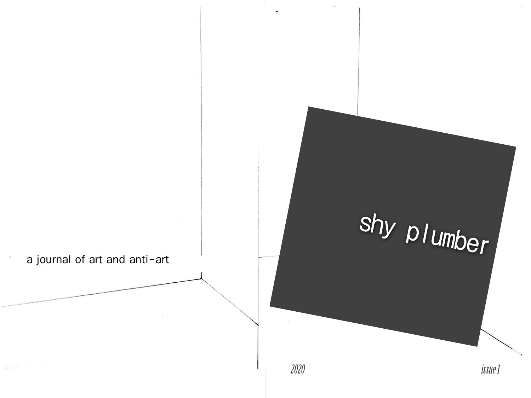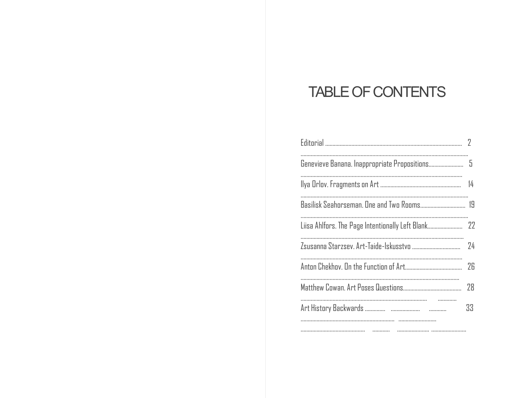# TABLE OF CONTENTS

|   | $\frac{1}{4}$ |
|---|---------------|
|   |               |
|   |               |
| . | 74            |
|   | 7Б            |
|   | 78            |
|   | 33            |
|   |               |

…………..………………………… ………… …………………. ……………………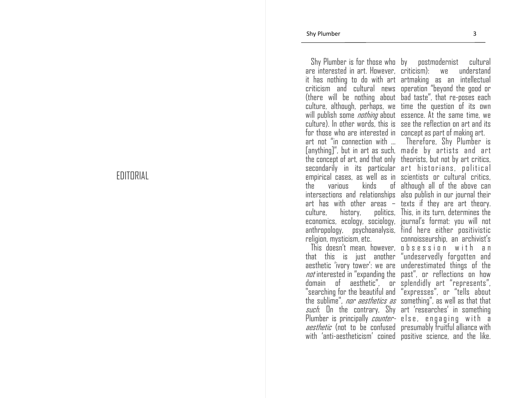#### EDITORIAL

are interested in art. However, it has nothing to do with art artmaking as an intellectual criticism and cultural news operation "beyond the good or (there will be nothing about bad taste", that re -poses each culture, although, perhaps, we time the question of its own will publish some *nothing* about essence. At the same time, we culture). In other words, this is see the reflection on art and its for those who are interested in conceptaspartof making art. art not "in connection with … Therefore, Shy Plumber is [anything]", but in art as such, made by artists and art the concept of art, and that only theorists, but not by art critics, secondarily in its particular art historians, political empirical cases, as well as in scientists or cultural critics, the various kinds intersections and relationships also publish in our journal their art has with other areas – texts if they are art theory. culture, history, economics, ecology, sociology, journal's format: you will not anthropology, psychoanalysis, find here either positivistic religion, mysticism,etc.

that this is just another "undeservedly forgotten and aesthetic 'ivory tower': we are underestimated things of the *not* interested in "expanding the past", or reflections on how domain of aesthetic", or splendidly art "represents", "searching for the beautiful and "expresses", or "tells about the sublime", *nor aesthetics as* something", as well as that that such. On the contrary, Shy art 'researches' in something Plumber is principally *counter*-else, engaging with a *aesthetic* (not to be confused presumably fruitful alliance with

Shy Plumber is for those who by postmodernist cultural we understand

This doesn't mean, however, o b s e s s i o n w i t h a n with 'anti -aestheticism' coined positive science, and the like. although all of the above can politics. This, in its turn, determines the connoisseurship, an archivist's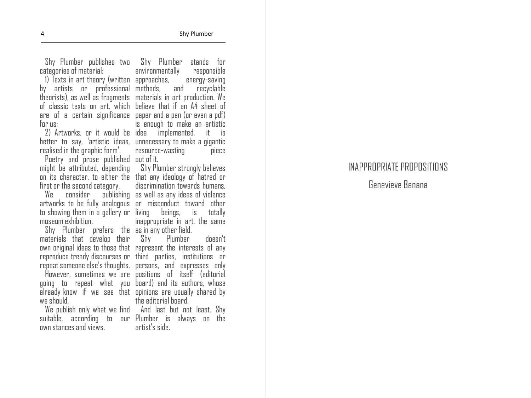Shy Plumber publishes two Shy Plumber stands for

by artists or professional theorists), as well as fragments materials in art production. We of classic texts on art, which believe that if an A 4 sheet of are of a certain significance paper and a pen (or even a pdf)

better to say, 'artistic ideas, unnecessary to make a gigantic realised in the graphic form'.

Poetry and prose published out of it. first or the second category.

We consider museum exhibition.

Shy Plumber prefers the as in anyother field. materials that develop their own original ideas to those that represent the interests of any reproduce trendy discourses or third parties, institutions or repeat someone else's thoughts. persons, and expresses only

going to repeat what you board) and its authors, whose already know if we see that opinions are usually shared by we should

ownstancesand views.

categoriesof material: 1) Texts in art theory (written approaches, energy for us; 2) Artworks, or it would be idea implemented, it is environmentally responsible energy-saving and recyclable is enough to make an artistic resource -wasting piece shy Plumber publishes two Shy Plumber stands<br>
artegories of material:<br>
1) lexis in art theory (written approaches), energy-ses<br>
by artists or professional methods, and recycly-<br>
statistic certain significance mapper and a

might be attributed, depending Shy Plumber strongly believes on its character, to either the that any ideology of hatred or artworks to be fully analogous or misconduct toward other to showing them in a gallery or living beings, is totally discrimination towards humans, publishing as well as any ideas of violence inappropriate in art, the same

However, sometimes we are positions of itself (editorial Shy Plumber doesn't the editorial board.

We publish only what we find And last but not least. Shy suitable, according to our Plumber is always on the

#### INAPPROPRIATE PROPOSITIONS

#### Genevieve Banana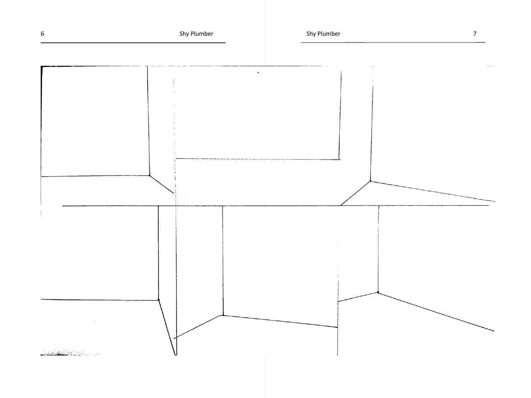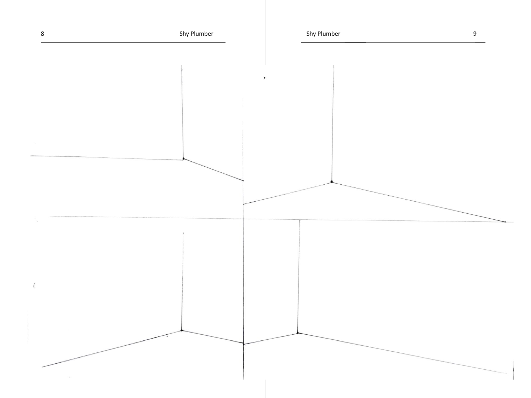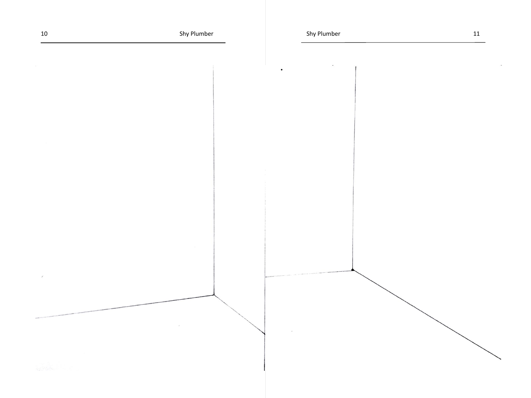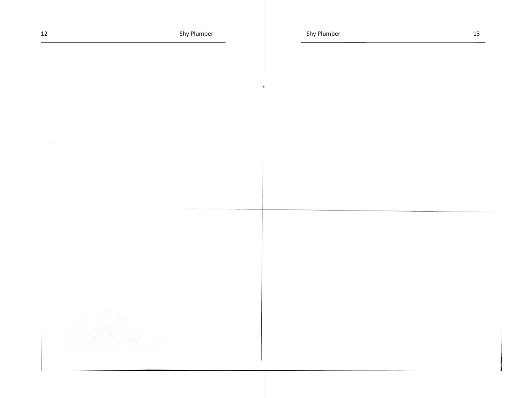12 Shy Plumber Shy Plumber Shy Plumber Shy Plumber Shy Plumber Shy Plumber Shy Plumber Shy Plumber Shy Plumber

|                          |                                                    | $\bullet$ . The contract of the contract of the contract of the contract of the contract of the contract of the contract of the contract of the contract of the contract of the contract of the contract of the contract of the co |                           |  |
|--------------------------|----------------------------------------------------|------------------------------------------------------------------------------------------------------------------------------------------------------------------------------------------------------------------------------------|---------------------------|--|
| $\overline{\phantom{a}}$ |                                                    |                                                                                                                                                                                                                                    |                           |  |
|                          |                                                    |                                                                                                                                                                                                                                    |                           |  |
| 그 그 그 그 그는 그 그 모습.       |                                                    |                                                                                                                                                                                                                                    |                           |  |
|                          |                                                    |                                                                                                                                                                                                                                    |                           |  |
|                          | $\overline{R}$ and $\overline{R}$ . The set of $R$ |                                                                                                                                                                                                                                    | $\mathcal{L} = \{0,1\}$ . |  |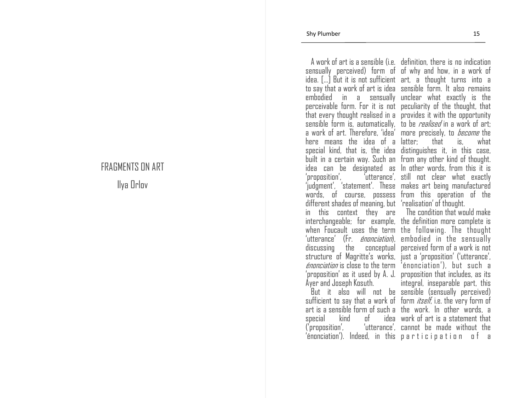#### FRAGMENTS ON ART Ilya Orlov

 $'$ proposition $'$ . different shades of meaning, but 'realisation'of thought. in this context they are Aver and Joseph Kosuth.

special kind of

A work of art is a sensible (i.e.  $\,$  definition, there is no indication sensually perceived) form of of why and how, in a work of idea. [ … ] But it is not sufficient art, a thought turns into a to say that a work of art is idea sensible form. It also remains embodied in a sensually unclear what exactly is the perceivable form. For it is not peculiarity of the thought, that that every thought realised in a provides it with the opportunity sensible form is, automatically, to be *realised* in a work of art;<br>a work of art. Therefore, 'idea' more precisely, to *become* the here means the idea of a latter; that is, what special kind, that is, the idea distinguishes it, in this case, built in a certain way. Such an from any other kind of thought. idea can be designated as In other words, from this it is 'judgment', 'statement'. These makes art being manufactured words, of course, possess from this operation of the to be *realised* in a work of art; futterance', still not clear what exactly

interchangeable; for example, the definition more complete is when Foucault uses the term the following. The thought 'utterance' (Fr. *énonciation*), embodied in the sensually discussing the conceptual perceived form of a work is not structure of Magritte's works, just a 'proposition' ('utterance', *énonciation* is close to the term <sup>7</sup>énonciation'), but such a 'proposition' as it used by A. J. proposition that includes, as its But it also will not be sensible (sensually perceived) sufficient to say that a work of form *itself,* i.e. the very form of art is a sensible form of such a the work. In other words, a ('proposition', 'utterance', cannot be made without the<br>'énonciation'). Indeed, in this participation of a The condition that would make integral, inseparable part, this work of art is a statement that 'utterance', cannot be made without the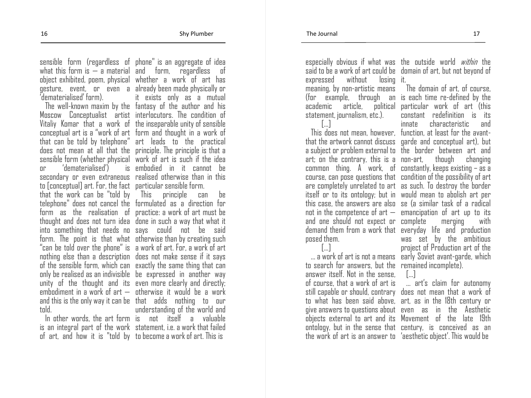sensible form (regardless of phone" is an aggregate of idea 'dematerialised' form).

Moscow Conceptualist artist interlocutors. The condition of Vitaliy Komar that a work of the inseparable unity of sensible conceptual art is a "work of art form and thought in a work of that can be told by telephone" art leads to the practical does not mean at all that the principle. The principle is that a sensible form (whether physical work of art is such if the idea or 'dematerialised') secondary or even extraneous realised otherwise than in this to [conceptual] art. For, the fact particularsensibleform. that the work can be "told by This principle can be telephone" does not cancel the formulated as a direction for form as the realisation of practice: a work of art must be thought and does not turn idea done in such a way that what it into something that needs no says could not be said form. The point is that what otherwise than by creating such form. The point is that what otherwise-than-by-creating-such<br>"can be told over the phone" is a work of art. For, a work of art nothing else than a description does not make sense if it says of the sensible form, which can exactly the same thing that can only be realised as an indivisible be expressed in another way unity of the thought and its even more clearly and directly; embodiment in a work of art — otherwise it would be a work and this is the only way it can be that adds nothing to our told.

of art, and how it is "told by tobecome a workof art. This is

what this form is — a material and form, regardless of object exhibited, poem, physical whether a work of art has gesture, event, or even a already been made physically or The well -known maxim by the fantasy of the author and his it exists only as a mutual is embodied in it cannot he

In other words, the art form is not itself a valuable is an integral part of the work statement, i.e. a work that failed understanding of the world and expressed without meaning, by non -artistic means (for example, through an is each time re -defined by the academic article, political particular work of art (this statement, journalism,etc.). […] losing it.

posed them.<br>[…]

to search for answers, but the remained incomplete).<br>answer itself. Not in the sense, [...] answer itself. Not in the sense, of course, that a work of art is still capable or should, contrary does not mean that a work of to what has been said above, art, as in the 18th century or give answers to questions about even as in the Aesthetic objects external to art and its Movement of the late 19th ontology, but in the sense that century, is conceived as an

especially obvious if what was the outside world *within* the said to be a workof art could be domain of art, but not beyond of

This does not mean, however, function, at least for the avant that the artwork cannot discuss) garde and conceptual art), but<br>a subject or problem external to the border between art and art; on the contrary, this is a non -art, though changing common thing. A work, of constantly, keeps existing – as a course, can pose questions that condition of the possibility of art are completely unrelated to art as such. To destroy the border itself or to its ontology; but in would mean to abolish art per this case, the answers are also se (a similar task of a radical not in the competence of  $art$   $-$  emancipation of  $art$  up to its and one should not expect or complete merging with demand them from a work that everyday life and production ... a workof art is not a means early Soviet avant -garde, which The domain of art, of course, constant redefinition is its innate characteristic and a subject or problem external to the border between art and was set by the ambitious project of Production art of the

the work of art is an answer to 'aestheticobject'. This wouldbe ... art's claim for autonomy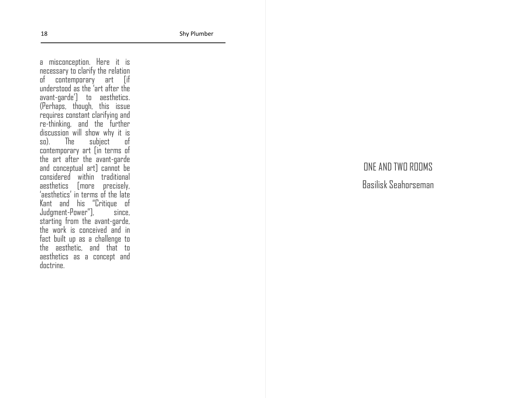18 Shy Plumber

a misconception. Here it is necessary to clarify the relation of contemporary art [if understood as the 'art after the avant -garde'] to aesthetics. (Perhaps, though, this issue requires constant clarifying and re -thinking, and the further discussion will show why it is so). The subject of contemporary art [in terms of the art after the avant -garde and conceptual art] cannot be considered within traditional aesthetics [more precisely, 'aesthetics' in terms of the late Kant and his "Critique of<br>Judoment-Power"). since. Judgment -Power"], since, starting from the avant -garde, the work is conceived and in fact built up as a challenge to the aesthetic, and that to aesthetics as a concept and doctrine.

### ONE AND TWO ROOMS Basilisk Seahorseman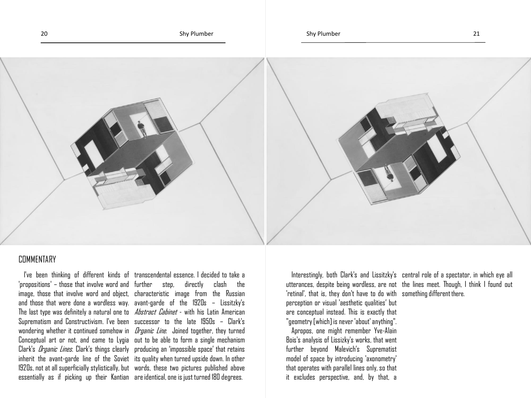

#### **COMMENTARY**

I've been thinking of different kinds of transcendental essence. I decided to take a essentially as if picking up their Kantian areidentical,oneisjust turned180 degrees.

'propositions' – those that involve word and further step, directly clash the image, those that involve word and object, characteristic image from the Russian and those that were done a wordless way. avant-garde of the 1920s – Lissitzky's The last type was definitely a natural one to *Abstract Cabinet* - with his Latin American Suprematism and Constructivism. I've been successor to the late 1950s – Clark's wondering whether it continued somehow in *Organic Line*. Joined together, they turned Conceptual art or not, and came to Lygia out to be able to form a single mechanism Clark's *Organic Lines*. Clark's things clearly producing an 'impossible space' that retains inherit the avant-garde line of the Soviet its quality when turned upside down. In other 1920s, not at all superficially stylistically, but words, these two pictures published above

Interestingly, both Clark's and Lissitzky's central role of a spectator, in which eye all utterances, despite being wordless, are not) the lines meet. Though, I think I found out 'retinal', that is, they don't have to do with something different there. perception or visual 'aesthetic qualities' but are conceptual instead. This is exactly that "geometry [which] is never 'about' anything".

Apropos, one might remember Yve-Alain Bois's analysis of Lissizky's works, that went further beyond Malevich's Suprematist model of space by introducing 'axonometry' that operates with parallel lines only, so that it excludes perspective, and, by that, a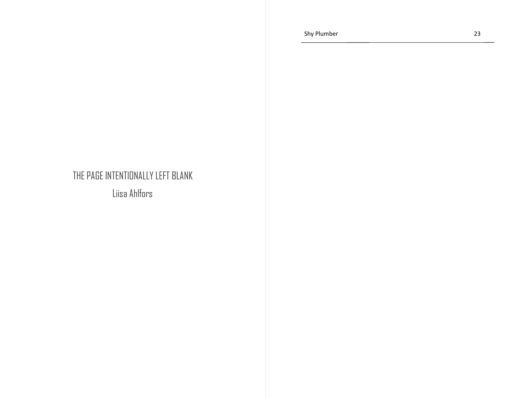Shy Plumber 23

#### THE PAGE INTENTIONALLY LEFT BLANK

Liisa Ahlfors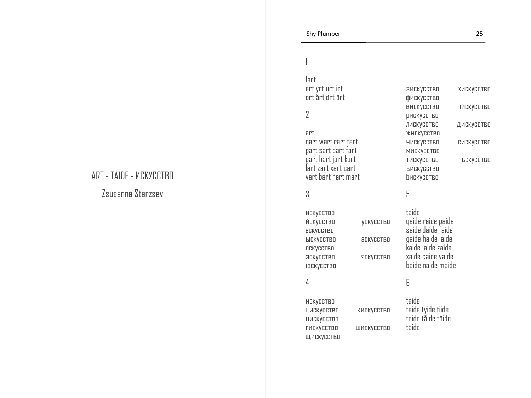# ART - TAIDE - ИСКУССТВО Zsusanna Starzsev 11art

ert yrturt irt ortårtört ärt

#### 2

art qart wart rart tart part sart dart fart garthart jart kart lart zart xart cart vart bart nart mart

#### 3

искусство йскусство ускусство ескусство ыскусство аскусство оскусство эскусство яскусство юскусство

#### 4

искусство цискусство кискусство нискусство щискусство

гискусство шискусство

зискусство хискусство фискусство вискусство пискусство рискусство лискусство дискусство жискусство чискусство сискусство мискусство тискусство ьскусство ъискусство бискусство

#### 5

taide qaide raide paide saide daide faide gaide haide jaide kaide laide zaide xaide caide vaide baide naide maide

#### 6

taide teide tyide tiide toide tåide töide täide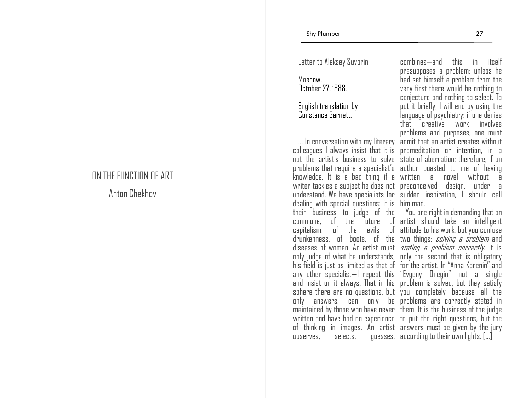## ON THE FUNCTION OF ART

Anton Chekhov

Letter to Aleksey Suvorin

Moscow Dctober 77, 1888

English translation by Constance Garnett.

knowledge. It is a bad thing if a written a novel without dealing with special questions: it is him mad. their business to judge of the You are right in demanding that an  $observes,$  selects,

... In conversation with my literary admit that an artist creates without colleagues I always insist that it is premeditation or intention, in a not the artist's business to solve state of aberration; therefore, if an problems that require a specialist's author boasted to me of having writer tackles a subject he does not preconceived design, under a understand. We have specialists for sudden inspiration, I should call combines-and this in itself presupposes a problem: unless he had set himself a problem from the very first there would be nothing to conjecture and nothing to select. To put it briefly, I will end by using the language of psychiatry: if one denies that creative work involves problems and purposes, one must a

commune, of the future of artist should take an intelligent capitalism, of the evils of attitude to his work, but you confuse drunkenness, of boots, of the two-things: *solving a problem* and diseases of women. An artist must *stating a problem correctly*. It is only judge of what he understands, only the second that is obligatory his field is just as limited as that of for the artist. In "Anna Karenin" and his field is just as limited as that of for the artist. In "Anna Karenin" and<br>any other specialist—I repeat this "Evgeny Onegin" not a single and insist on it always. That in his problem is solved, but they satisfy sphere there are no questions, but you completely because all the only answers, can only be problems are correctly stated in maintained by those who have never them. It is the business of the judge written and have had no experience to put the right questions, but the of thinking in images. An artist answers must be given by the jury according to their own lights.  $[...]$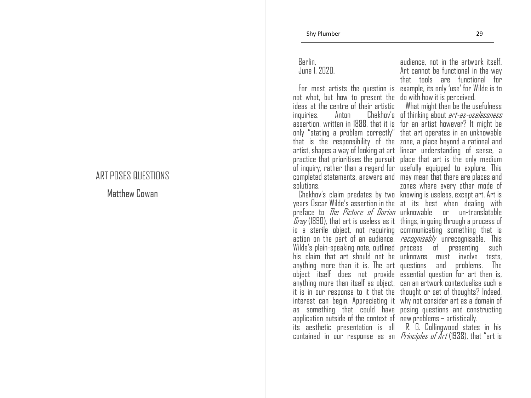#### ART POSES QUESTIONS

Matthew Cowan

#### Berlin, June 1, 2020.

not what, but how to present the do withhow it is perceived. ideas at the centre of their artistic What might then be the usefulness assertion, written in 1888, that it is for an artist however? It might be only "stating a problem correctly" that art operates in an unknowable that is the responsibility of the zone, a place beyond a rational and artist, shapes a way of looking at art linear understanding of sense, a practice that prioritises the pursuit place that art is the only medium of inquiry, rather than a regard for usefully equipped to explore. This completed statements, answers and may mean that there are places and solutions.

years Oscar Wilde's assertion in the at its best when dealing with preface to *The Picture of Dorian* unknowable or un-translatable  $E$ ray (1890), that art is useless as it $\;$  things, in going through a process of is a sterile object, not requiring communicating something that is action on the part of an audience. *recognisably* unrecognisable. This Wilde's plain -speaking note, outlined process of presenting such his claim that art should not be unknowns must involve tests, anything more than it is. The art questions and problems. The object itself does not provide essential question for art then is, anything more than itself as object, can an artwork contextualise such a it is in our response to it that the thought or set of thoughts? Indeed, interest can begin. Appreciating it why not consider art as a domain of as something that could have posing questions and constructing application outside of the context of new problems – artistically. its aesthetic presentation is all R. G. Collingwood states in his

For most artists the question is example, its only 'use' for Wilde is to audience, not in the artwork itself. Art cannot be functional in the way that tools are functional for

inquiries. Anton Chekhov's of thinking about *art-as-uselessness* Chekhov's claim predates by two knowing is useless, except art. Art is zones where every other mode of

contained in our response as an *Principles of Ārt* (1938), that "art is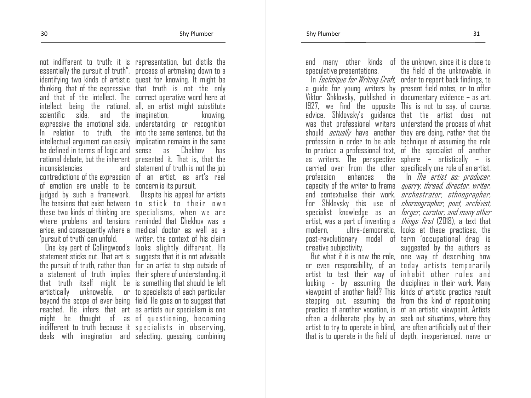not indifferent to truth: it is representation, but distils the inconsistencies

of emotion are unable to be concernis its pursuit. judged by such a framework. Despite his appeal for artists these two kinds of thinking are specialisms, when we are where problems and tensions reminded that Chekhov was a arise, and consequently where a medical doctor as well as a 'pursuitof truth'canunfold.

deals with imagination and selecting, guessing, combining

essentially the pursuit of truth", process of artmaking down to a identifying two kinds of artistic quest for knowing. It might be thinking, that of the expressive that truth is not the only and that of the intellect. The correct operative word here at intellect being the rational, all, an artist might substitute scientific side, and the imagination, knowing, expressive the emotional side. understanding or recognition In relation to truth, the into-the-same-sentence, but the intellectual argument can easily implication remains in the same be defined in terms of logic and sense as Chekhov has rational debate, but the inherent presented it. That is, that the contradictions of the expression of an artist, as art's real and statement of truth is not the job

The tensions that exist between to stick to their own One key part of Collingwood's looks slightly different. He statement sticks out. That art is suggests that it is not advisable the pursuit of truth, rather than for an artist to step outside of<br>a statement of truth implies their sphere of understanding, it that truth itself might be is something that should be left artistically unknowable, or to specialists of each particular beyond the scope of ever being field. He goes on to suggest that reached. He infers that art as artists our specialism is one might be thought of as of questioning, becoming indifferent to truth because it specialists in observing, writer, the context of his claim a statement of truth implies their sphere of understanding, it speculative presentations.

Viktor Shklovsky, published in documentary evidence – as art. 1927, we find the opposite This is not to say, of course, advice. Shklovsky's guidance that the artist does not was that professional writers understand the process of what should *actually* have another they are doing, rather that the profession in order to be able technique of assuming the role to produce a professional text, of the specialist of another as writers. The perspective sphere – artistically – is carried over from the other specificallyone role of an artist. profession enhances the In*The artist as: producer,* .<br>capacity of the writer to frame *quarry, thread, director, writer,* and contextualise their work. *orchestrator, ethnographer,* For Shklovsky this use of *choreographer, poet, archivist,* specialist knowledge as an *forger, curator, and many other* artist, was a part of inventing a *things first* (2018), a text that modern post -revolutionary model of term 'occupational drag' is creative subjectivity.

or even responsibility, of an today artists temporarily artist to test their way of inhabit other roles and looking - by assuming the disciplines in their work. Many viewpoint of another field? This kinds of artistic practice result stepping out, assuming the from this kind of repositioning practice of another vocation, is of an artistic viewpoint. Artists often a deliberate ploy by an seek out situations, where they artist to try to operate in blind, are often artificially out of their that is to operate in the field of depth, inexperienced, naïve or

and many other kinds of the unknown, since it is close to In *Technique for Writing Craft,* order to report back findings, to<br>a quide for young writers by present field notes, or to offer the field of the unknowable, in .<br>In *Technique for Writing Craft*, order to report back findings, to

-democratic, looks at these practices, the But what if it is now the role, one way of describing how suggested by the authors as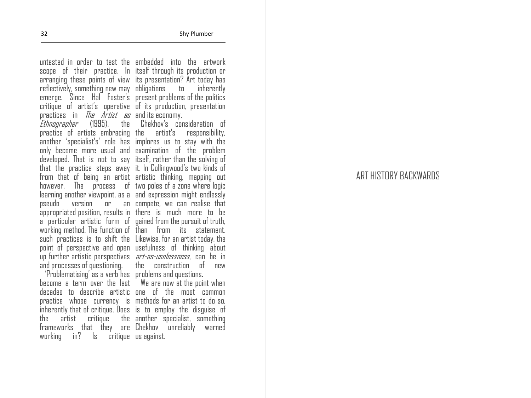untested in order to test the embedded into the artwork scope of their practice. In itself-through its-production-or arranging these points of view its presentation? Art today has reflectively, something new may emerge. Since Hal Foster's present problems of the politics critique of artist's operative of its production, presentation practices in *The Artist as* anditseconomy. Ethnographer (1995), the practice of artists embracing the artist's responsibility, another 'specialist's' role has implores us to stay with the only become more usual and examination of the problem developed. That is not to say itself, rather than the solving of that the practice steps away it. In Collingwood's two kinds of from that of being an artist artistic thinking, mapping out however. The process of two poles of a zone where logic learning another viewpoint, as a and expression might endlessly pseudo version or an .<br>appropriated position, results in there is much more to be<br>a particular artistic form of gained from the pursuit of truth, working method. The function of than from its statement. such practices is to shift the Likewise, for an artist today, the point of perspective and open usefulness of thinking about up further artistic perspectives *art-as-uselessness*, can be in a particular artistic form of gained from the pursuit of truth,

become a term over the last We are now at the point when decades to describe artistic one of the most common practice whose currency is methods for an artist to do so, inherently that of critique. Does is to employ the disguise of the artist critique the another specialist, something frameworks that they are Chekhov unreliably warned working in? Is critique us against.

to inherently

andprocessesof questioning. 'Problematising' as <sup>a</sup> verb has the construction of new Chekhov's consideration of compete, we can realise that 'Problematising' as a verb has problems and questions.

#### ART HISTORY BACKWARDS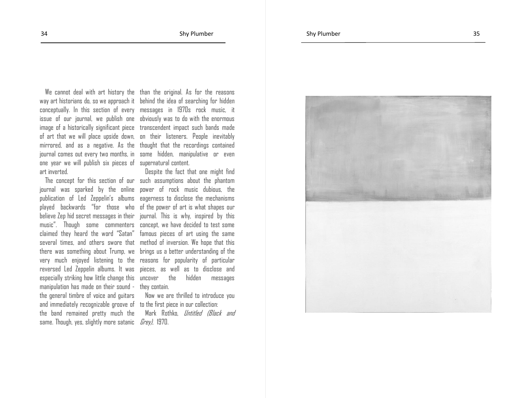We cannot deal with art history the than the original. As for the reasons way art historians do, so we approach it behind the idea of searching for hidden conceptually. In this section of every messages in 1970 s rock music, it issue of our journal, we publish one obviously was to do with the enormous image of a historically significant piece transcendent impact such bands made of art that we will place upside down, on their listeners. People inevitably mirrored, and as a negative. As the thought that the recordings contained journal comes out every two months, in some hidden, manipulative or even one year we will publish six pieces of supernatural content. art inverted.

journal was sparked by the online power of rock music dubious, the publication of Led Zeppelin's albums eagerness to disclose the mechanisms played backwards "for those who of the power of art is what shapes our believe Zep hid secret messages in their journal. This is why, inspired by this music". Though some commenters concept, we have decided to test some claimed they heard the word "Satan" famous pieces of art using the same several times, and others swore that method of inversion. We hope that this there was something about Trump, we brings us a better understanding of the very much enjoyed listening to the reasons for popularity of particular reversed Led Zeppelin albums. It was pieces, as well as to disclose and especially striking how little change this uncover the hidden messages manipulation has made on their sound - they contain. the general timbre of voice and guitars Now we are thrilled to introduce you and immediately recognizable groove of to the first piece in our collection: the band remained pretty much the Mark Rothko, *Untitled (Black and* same. Though, yes, slightly more satanic *Grey)*, 1970. Shy Plumber<br>Shy Plumber<br>Shy Plumber<br>The connect densi with a respect to the streament of the streement<br>sympthic in the streament of every measures in 1970s root music to the<br>streament of the streament of the streament of

The concept for this section of our such assumptions about the phantom Despite the fact that one might find